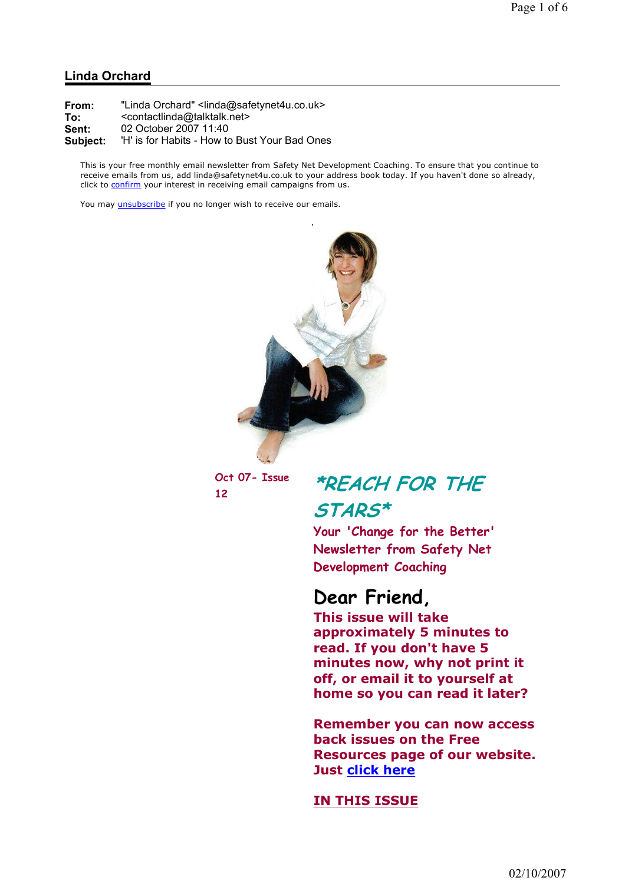### Linda Orchard

| From:    | "Linda Orchard" <linda@safetynet4u.co.uk></linda@safetynet4u.co.uk> |
|----------|---------------------------------------------------------------------|
| To:      | <contactlinda@talktalk.net></contactlinda@talktalk.net>             |
| Sent:    | 02 October 2007 11:40                                               |
| Subject: | 'H' is for Habits - How to Bust Your Bad Ones                       |

This is your free monthly email newsletter from Safety Net Development Coaching. To ensure that you continue to receive emails from us, add linda@safetynet4u.co.uk to your address book today. If you haven't done so already, click to confirm your interest in receiving email campaigns from us.

You may *unsubscribe* if you no longer wish to receive our emails.



Oct 07- Issue

# Oct 07- Issue \*REACH FOR THE STARS\*

Your 'Change for the Better' Newsletter from Safety Net Development Coaching

## Dear Friend,

This issue will take approximately 5 minutes to read. If you don't have 5 minutes now, why not print it off, or email it to yourself at home so you can read it later?

Remember you can now access back issues on the Free Resources page of our website. Just click here

### IN THIS ISSUE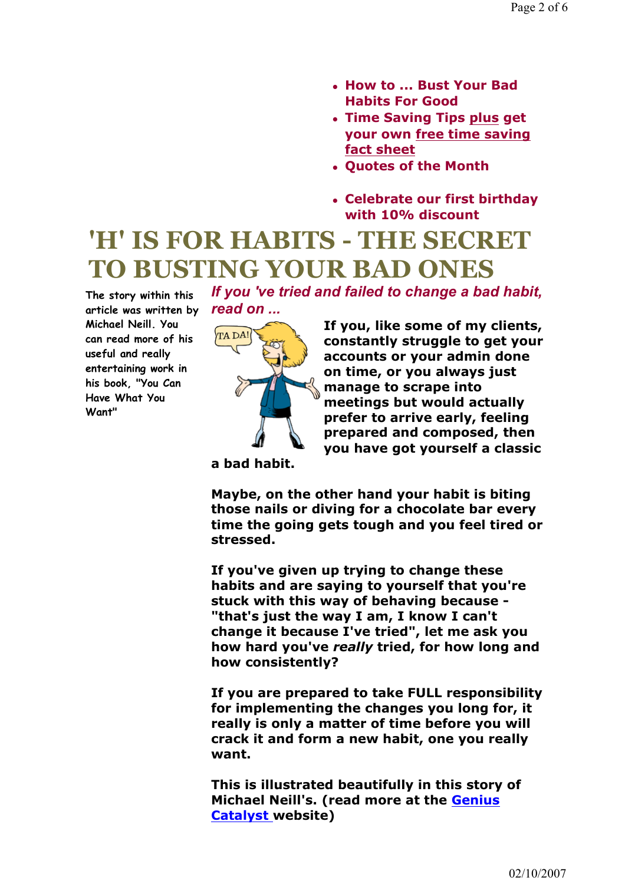- How to ... Bust Your Bad Habits For Good
- Time Saving Tips plus get your own free time saving fact sheet
- Quotes of the Month
- Celebrate our first birthday with 10% discount

# 'H' IS FOR HABITS - THE SECRET TO BUSTING YOUR BAD ONES

The story within this article was written by **read on** ... Michael Neill. You can read more of his useful and really entertaining work in his book, "You Can Have What You Want"



If you, like some of my clients, constantly struggle to get your accounts or your admin done on time, or you always just manage to scrape into meetings but would actually prefer to arrive early, feeling prepared and composed, then you have got yourself a classic

a bad habit.

Maybe, on the other hand your habit is biting those nails or diving for a chocolate bar every time the going gets tough and you feel tired or stressed.

If you 've tried and failed to change a bad habit,

If you've given up trying to change these habits and are saying to yourself that you're stuck with this way of behaving because - "that's just the way I am, I know I can't change it because I've tried", let me ask you how hard you've really tried, for how long and how consistently?

If you are prepared to take FULL responsibility for implementing the changes you long for, it really is only a matter of time before you will crack it and form a new habit, one you really want.

This is illustrated beautifully in this story of Michael Neill's. (read more at the Genius Catalyst website)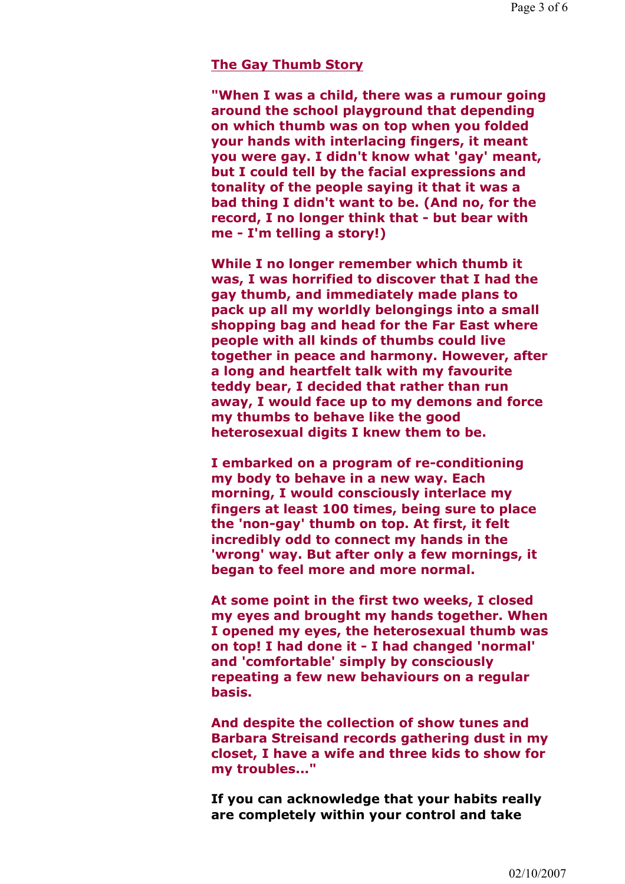#### The Gay Thumb Story

"When I was a child, there was a rumour going around the school playground that depending on which thumb was on top when you folded your hands with interlacing fingers, it meant you were gay. I didn't know what 'gay' meant, but I could tell by the facial expressions and tonality of the people saying it that it was a bad thing I didn't want to be. (And no, for the record, I no longer think that - but bear with me - I'm telling a story!)

While I no longer remember which thumb it was, I was horrified to discover that I had the gay thumb, and immediately made plans to pack up all my worldly belongings into a small shopping bag and head for the Far East where people with all kinds of thumbs could live together in peace and harmony. However, after a long and heartfelt talk with my favourite teddy bear, I decided that rather than run away, I would face up to my demons and force my thumbs to behave like the good heterosexual digits I knew them to be.

I embarked on a program of re-conditioning my body to behave in a new way. Each morning, I would consciously interlace my fingers at least 100 times, being sure to place the 'non-gay' thumb on top. At first, it felt incredibly odd to connect my hands in the 'wrong' way. But after only a few mornings, it began to feel more and more normal.

At some point in the first two weeks, I closed my eyes and brought my hands together. When I opened my eyes, the heterosexual thumb was on top! I had done it - I had changed 'normal' and 'comfortable' simply by consciously repeating a few new behaviours on a regular basis.

And despite the collection of show tunes and Barbara Streisand records gathering dust in my closet, I have a wife and three kids to show for my troubles..."

If you can acknowledge that your habits really are completely within your control and take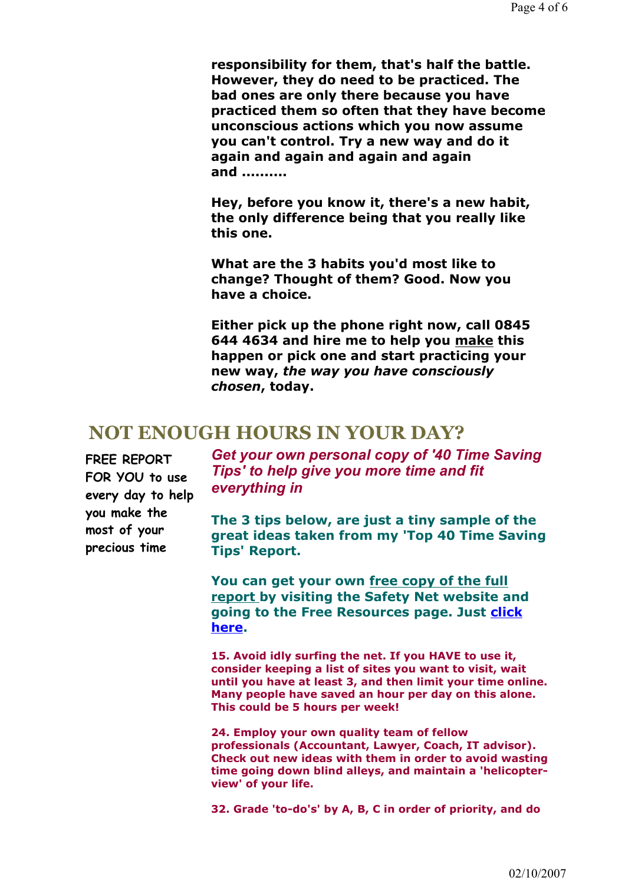responsibility for them, that's half the battle. However, they do need to be practiced. The bad ones are only there because you have practiced them so often that they have become unconscious actions which you now assume you can't control. Try a new way and do it again and again and again and again and ..........

Hey, before you know it, there's a new habit, the only difference being that you really like this one.

What are the 3 habits you'd most like to change? Thought of them? Good. Now you have a choice.

Either pick up the phone right now, call 0845 644 4634 and hire me to help you make this happen or pick one and start practicing your new way, the way you have consciously chosen, today.

### NOT ENOUGH HOURS IN YOUR DAY?

FREE REPORT FOR YOU to use every day to help you make the most of your precious time

Get your own personal copy of '40 Time Saving Tips' to help give you more time and fit everything in

The 3 tips below, are just a tiny sample of the great ideas taken from my 'Top 40 Time Saving Tips' Report.

You can get your own free copy of the full report by visiting the Safety Net website and going to the Free Resources page. Just click here.

15. Avoid idly surfing the net. If you HAVE to use it, consider keeping a list of sites you want to visit, wait until you have at least 3, and then limit your time online. Many people have saved an hour per day on this alone. This could be 5 hours per week!

24. Employ your own quality team of fellow professionals (Accountant, Lawyer, Coach, IT advisor). Check out new ideas with them in order to avoid wasting time going down blind alleys, and maintain a 'helicopterview' of your life.

32. Grade 'to-do's' by A, B, C in order of priority, and do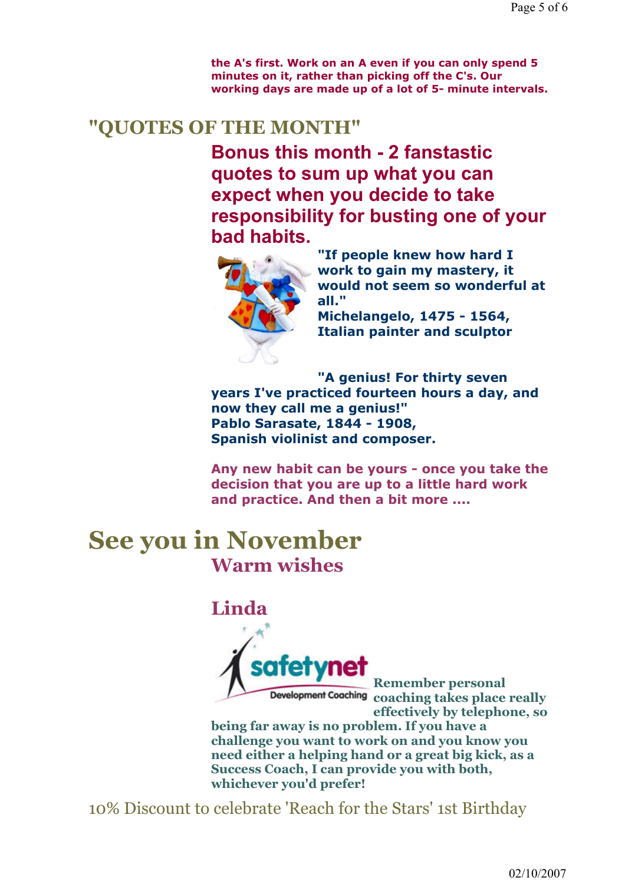the A's first. Work on an A even if you can only spend 5 minutes on it, rather than picking off the C's. Our working days are made up of a lot of 5- minute intervals.

## "QUOTES OF THE MONTH"

Bonus this month - 2 fanstastic quotes to sum up what you can expect when you decide to take responsibility for busting one of your bad habits.



"If people knew how hard I work to gain my mastery, it would not seem so wonderful at all."

Michelangelo, 1475 - 1564, Italian painter and sculptor

"A genius! For thirty seven years I've practiced fourteen hours a day, and now they call me a genius!" Pablo Sarasate, 1844 - 1908, Spanish violinist and composer.

Any new habit can be yours - once you take the decision that you are up to a little hard work and practice. And then a bit more ....

## See you in November Warm wishes

## Linda



Remember personal Development Coaching coaching takes place really effectively by telephone, so

being far away is no problem. If you have a challenge you want to work on and you know you need either a helping hand or a great big kick, as a Success Coach, I can provide you with both, whichever you'd prefer!

10% Discount to celebrate 'Reach for the Stars' 1st Birthday